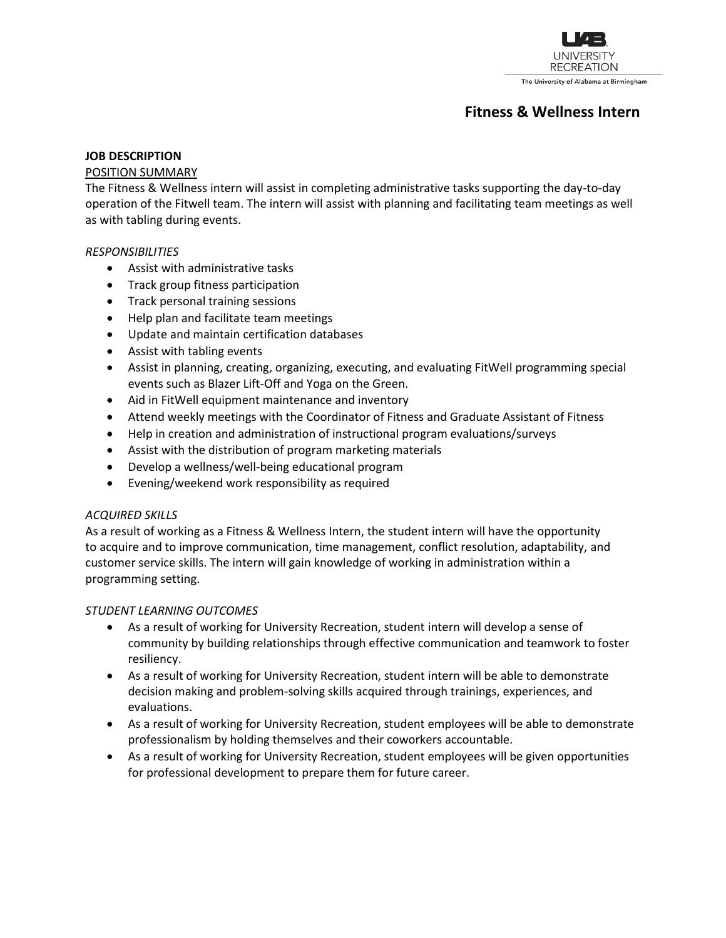

# **Fitness & Wellness Intern**

#### **JOB DESCRIPTION**

#### POSITION SUMMARY

The Fitness & Wellness intern will assist in completing administrative tasks supporting the day-to-day operation of the Fitwell team. The intern will assist with planning and facilitating team meetings as well as with tabling during events.

#### *RESPONSIBILITIES*

- Assist with administrative tasks
- Track group fitness participation
- Track personal training sessions
- Help plan and facilitate team meetings
- Update and maintain certification databases
- Assist with tabling events
- Assist in planning, creating, organizing, executing, and evaluating FitWell programming special events such as Blazer Lift-Off and Yoga on the Green.
- Aid in FitWell equipment maintenance and inventory
- Attend weekly meetings with the Coordinator of Fitness and Graduate Assistant of Fitness
- Help in creation and administration of instructional program evaluations/surveys
- Assist with the distribution of program marketing materials
- Develop a wellness/well-being educational program
- Evening/weekend work responsibility as required

## *ACQUIRED SKILLS*

As a result of working as a Fitness & Wellness Intern, the student intern will have the opportunity to acquire and to improve communication, time management, conflict resolution, adaptability, and customer service skills. The intern will gain knowledge of working in administration within a programming setting.

## *STUDENT LEARNING OUTCOMES*

- As a result of working for University Recreation, student intern will develop a sense of community by building relationships through effective communication and teamwork to foster resiliency.
- As a result of working for University Recreation, student intern will be able to demonstrate decision making and problem-solving skills acquired through trainings, experiences, and evaluations.
- As a result of working for University Recreation, student employees will be able to demonstrate professionalism by holding themselves and their coworkers accountable.
- As a result of working for University Recreation, student employees will be given opportunities for professional development to prepare them for future career.